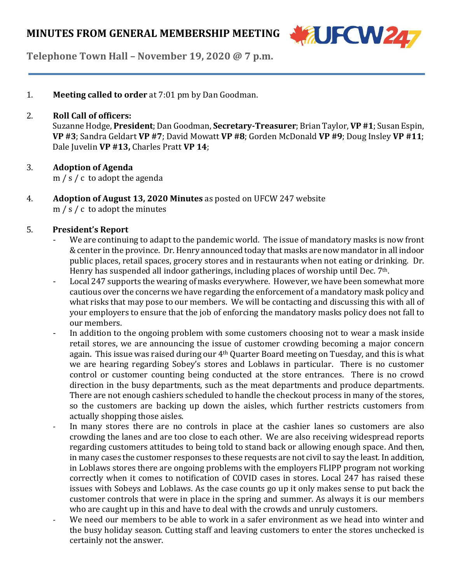

**Telephone Town Hall – November 19, 2020 @ 7 p.m.**

1. **Meeting called to order** at 7:01 pm by Dan Goodman.

### 2. **Roll Call of officers:**

Suzanne Hodge, **President**; Dan Goodman, **Secretary-Treasurer**; Brian Taylor, **VP #1**;Susan Espin, **VP #3**; Sandra Geldart **VP #7**; David Mowatt **VP #8**; Gorden McDonald **VP #9**; Doug Insley **VP #11**; Dale Juvelin **VP #13,** Charles Pratt **VP 14**;

### 3. **Adoption of Agenda**

m / s / c to adopt the agenda

4. **Adoption of August 13, 2020 Minutes** as posted on UFCW 247 website m / s / c to adopt the minutes

### 5. **President's Report**

- We are continuing to adapt to the pandemic world. The issue of mandatory masks is now front &center in the province. Dr.Henry announced today that masks are now mandator in all indoor public places, retail spaces, grocery stores and in restaurants when not eating or drinking. Dr. Henry has suspended all indoor gatherings, including places of worship until Dec. 7<sup>th</sup>.
- Local 247 supports the wearing of masks everywhere. However, we have been somewhat more cautious over the concerns we have regarding the enforcement of a mandatory mask policy and what risks that may pose to our members. We will be contacting and discussing this with all of your employers to ensure that the job of enforcing the mandatory masks policy does not fall to our members.
- In addition to the ongoing problem with some customers choosing not to wear a mask inside retail stores, we are announcing the issue of customer crowding becoming a major concern again. This issue was raised during our 4<sup>th</sup> Quarter Board meeting on Tuesday, and this is what we are hearing regarding Sobey's stores and Loblaws in particular. There is no customer control or customer counting being conducted at the store entrances. There is no crowd direction in the busy departments, such as the meat departments and produce departments. There are not enough cashiers scheduled to handle the checkout process in many of the stores, so the customers are backing up down the aisles, which further restricts customers from actually shopping those aisles.
- In many stores there are no controls in place at the cashier lanes so customers are also crowding the lanes and are too close to each other. We are also receiving widespread reports regarding customers attitudes to being told to stand back or allowing enough space. And then, in many cases the customer responses to these requests are not civil to say the least. In addition, in Loblaws stores there are ongoing problems with the employers FLIPP program not working correctly when it comes to notification of COVID cases in stores. Local 247 has raised these issues with Sobeys and Loblaws. As the case counts go up it only makes sense to put back the customer controls that were in place in the spring and summer. As always it is our members who are caught up in this and have to deal with the crowds and unruly customers.
- We need our members to be able to work in a safer environment as we head into winter and the busy holiday season. Cutting staff and leaving customers to enter the stores unchecked is certainly not the answer.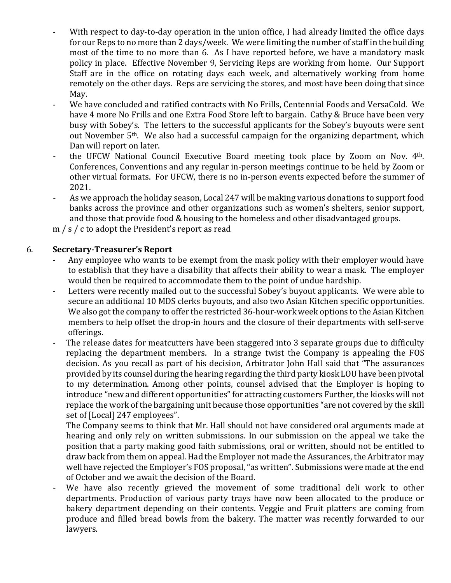- With respect to day-to-day operation in the union office, I had already limited the office days for our Reps to no more than 2 days/week. We were limiting the number of staff in the building most of the time to no more than 6. As I have reported before, we have a mandatory mask policy in place. Effective November 9, Servicing Reps are working from home. Our Support Staff are in the office on rotating days each week, and alternatively working from home remotely on the other days. Reps are servicing the stores, and most have been doing that since May.
- We have concluded and ratified contracts with No Frills, Centennial Foods and VersaCold. We have 4 more No Frills and one Extra Food Store left to bargain. Cathy & Bruce have been very busy with Sobey's. The letters to the successful applicants for the Sobey's buyouts were sent out November 5th. We also had a successful campaign for the organizing department, which Dan will report on later.
- the UFCW National Council Executive Board meeting took place by Zoom on Nov. 4<sup>th</sup>. Conferences, Conventions and any regular in-person meetings continue to be held by Zoom or other virtual formats. For UFCW, there is no in-person events expected before the summer of 2021.
- As we approach the holiday season, Local 247 will be making various donations to support food banks across the province and other organizations such as women's shelters, senior support, and those that provide food & housing to the homeless and other disadvantaged groups.

m / s / c to adopt the President's report as read

# 6. **Secretary-Treasurer's Report**

- Any employee who wants to be exempt from the mask policy with their employer would have to establish that they have a disability that affects their ability to wear a mask. The employer would then be required to accommodate them to the point of undue hardship.
- Letters were recently mailed out to the successful Sobey's buyout applicants. We were able to secure an additional 10 MDS clerks buyouts, and also two Asian Kitchen specific opportunities. We also got the company to offer the restricted 36-hour-work week options to the Asian Kitchen members to help offset the drop-in hours and the closure of their departments with self-serve offerings.
- The release dates for meatcutters have been staggered into 3 separate groups due to difficulty replacing the department members. In a strange twist the Company is appealing the FOS decision. As you recall as part of his decision, Arbitrator John Hall said that "The assurances provided by its counsel during the hearing regarding the third party kiosk LOU have been pivotal to my determination. Among other points, counsel advised that the Employer is hoping to introduce "new and different opportunities" for attracting customers Further, the kiosks will not replace the work of the bargaining unit because those opportunities "are not covered by the skill set of [Local] 247 employees".

The Company seems to think that Mr. Hall should not have considered oral arguments made at hearing and only rely on written submissions. In our submission on the appeal we take the position that a party making good faith submissions, oral or written, should not be entitled to draw back from them on appeal. Had the Employer not made the Assurances, the Arbitrator may well have rejected the Employer's FOS proposal, "as written". Submissions were made at the end of October and we await the decision of the Board.

We have also recently grieved the movement of some traditional deli work to other departments. Production of various party trays have now been allocated to the produce or bakery department depending on their contents. Veggie and Fruit platters are coming from produce and filled bread bowls from the bakery. The matter was recently forwarded to our lawyers.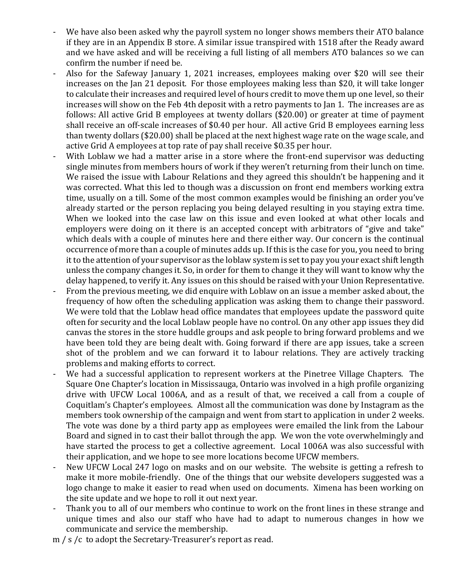- We have also been asked why the payroll system no longer shows members their ATO balance if they are in an Appendix B store. A similar issue transpired with 1518 after the Ready award and we have asked and will be receiving a full listing of all members ATO balances so we can confirm the number if need be.
- Also for the Safeway January 1, 2021 increases, employees making over \$20 will see their increases on the Jan 21 deposit. For those employees making less than \$20, it will take longer to calculate their increases and required level of hours credit to move them up one level, so their increases will show on the Feb 4th deposit with a retro payments to Jan 1. The increases are as follows: All active Grid B employees at twenty dollars (\$20.00) or greater at time of payment shall receive an off-scale increases of \$0.40 per hour. All active Grid B employees earning less than twenty dollars (\$20.00) shall be placed at the next highest wage rate on the wage scale, and active Grid A employees at top rate of pay shall receive \$0.35 per hour.
- With Loblaw we had a matter arise in a store where the front-end supervisor was deducting single minutes from members hours of work if they weren't returning from their lunch on time. We raised the issue with Labour Relations and they agreed this shouldn't be happening and it was corrected. What this led to though was a discussion on front end members working extra time, usually on a till. Some of the most common examples would be finishing an order you've already started or the person replacing you being delayed resulting in you staying extra time. When we looked into the case law on this issue and even looked at what other locals and employers were doing on it there is an accepted concept with arbitrators of "give and take" which deals with a couple of minutes here and there either way. Our concern is the continual occurrence of more than a couple of minutes adds up. If this is the case for you, you need to bring it to the attention of your supervisor as the loblaw system is set to pay you your exact shift length unless the company changes it. So, in order for them to change it they will want to know why the delay happened, to verify it. Any issues on this should be raised with your Union Representative.
- From the previous meeting, we did enquire with Loblaw on an issue a member asked about, the frequency of how often the scheduling application was asking them to change their password. We were told that the Loblaw head office mandates that employees update the password quite often for security and the local Loblaw people have no control. On any other app issues they did canvas the stores in the store huddle groups and ask people to bring forward problems and we have been told they are being dealt with. Going forward if there are app issues, take a screen shot of the problem and we can forward it to labour relations. They are actively tracking problems and making efforts to correct.
- We had a successful application to represent workers at the Pinetree Village Chapters. The Square One Chapter's location in Mississauga, Ontario was involved in a high profile organizing drive with UFCW Local 1006A, and as a result of that, we received a call from a couple of Coquitlam's Chapter's employees. Almost all the communication was done by Instagram as the members took ownership of the campaign and went from start to application in under 2 weeks. The vote was done by a third party app as employees were emailed the link from the Labour Board and signed in to cast their ballot through the app. We won the vote overwhelmingly and have started the process to get a collective agreement. Local 1006A was also successful with their application, and we hope to see more locations become UFCW members.
- New UFCW Local 247 logo on masks and on our website. The website is getting a refresh to make it more mobile-friendly. One of the things that our website developers suggested was a logo change to make it easier to read when used on documents. Ximena has been working on the site update and we hope to roll it out next year.
- Thank you to all of our members who continue to work on the front lines in these strange and unique times and also our staff who have had to adapt to numerous changes in how we communicate and service the membership.

m / s /c to adopt the Secretary-Treasurer's report as read.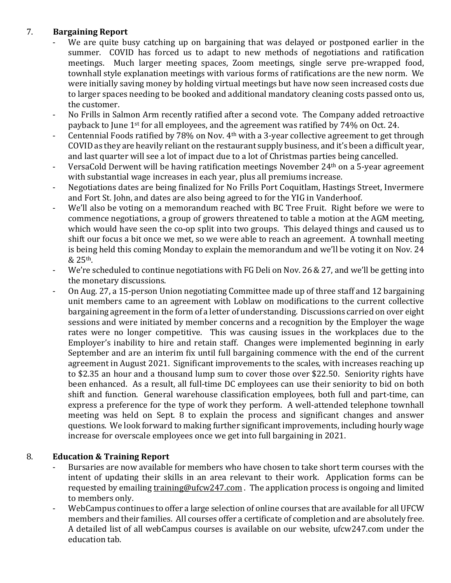# 7. **Bargaining Report**

- We are quite busy catching up on bargaining that was delayed or postponed earlier in the summer. COVID has forced us to adapt to new methods of negotiations and ratification meetings. Much larger meeting spaces, Zoom meetings, single serve pre-wrapped food, townhall style explanation meetings with various forms of ratifications are the new norm. We were initially saving money by holding virtual meetings but have now seen increased costs due to larger spaces needing to be booked and additional mandatory cleaning costs passed onto us, the customer.
- No Frills in Salmon Arm recently ratified after a second vote. The Company added retroactive payback to June 1st for all employees, and the agreement was ratified by 74% on Oct. 24.
- Centennial Foods ratified by 78% on Nov. 4<sup>th</sup> with a 3-year collective agreement to get through COVID as they are heavily reliant on the restaurant supply business, and it's been a difficult year, and last quarter will see a lot of impact due to a lot of Christmas parties being cancelled.
- VersaCold Derwent will be having ratification meetings November 24<sup>th</sup> on a 5-year agreement with substantial wage increases in each year, plus all premiums increase.
- Negotiations dates are being finalized for No Frills Port Coquitlam, Hastings Street, Invermere and Fort St. John, and dates are also being agreed to for the YIG in Vanderhoof.
- We'll also be voting on a memorandum reached with BC Tree Fruit. Right before we were to commence negotiations, a group of growers threatened to table a motion at the AGM meeting, which would have seen the co-op split into two groups. This delayed things and caused us to shift our focus a bit once we met, so we were able to reach an agreement. A townhall meeting is being held this coming Monday to explain the memorandum and we'll be voting it on Nov. 24 & 25th.
- We're scheduled to continue negotiations with FG Deli on Nov. 26 & 27, and we'll be getting into the monetary discussions.
- On Aug. 27, a 15-person Union negotiating Committee made up of three staff and 12 bargaining unit members came to an agreement with Loblaw on modifications to the current collective bargaining agreement in the form of a letter of understanding. Discussions carried on over eight sessions and were initiated by member concerns and a recognition by the Employer the wage rates were no longer competitive. This was causing issues in the workplaces due to the Employer's inability to hire and retain staff. Changes were implemented beginning in early September and are an interim fix until full bargaining commence with the end of the current agreement in August 2021. Significant improvements to the scales, with increases reaching up to \$2.35 an hour and a thousand lump sum to cover those over \$22.50. Seniority rights have been enhanced. As a result, all full-time DC employees can use their seniority to bid on both shift and function. General warehouse classification employees, both full and part-time, can express a preference for the type of work they perform. A well-attended telephone townhall meeting was held on Sept. 8 to explain the process and significant changes and answer questions. We look forward to making further significant improvements, including hourly wage increase for overscale employees once we get into full bargaining in 2021.

## 8. **Education & Training Report**

- Bursaries are now available for members who have chosen to take short term courses with the intent of updating their skills in an area relevant to their work. Application forms can be requested by emailing [training@ufcw247.com](mailto:training@ufcw247.com). The application process is ongoing and limited to members only.
- WebCampus continues to offer a large selection of online courses that are available for all UFCW members and their families. All courses offer a certificate of completion and are absolutely free. A detailed list of all webCampus courses is available on our website, ufcw247.com under the education tab.